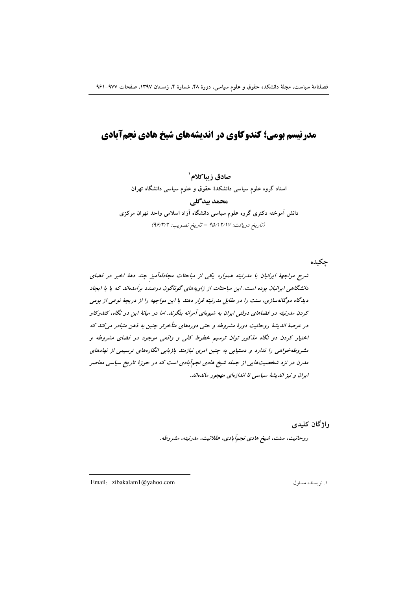# مدرنسم یومی؛ کندوکاوی در اندیشههای شیخ هادی نحمآیادی

صادق زيباكلام`

استاد گروه علوم سیاسی دانشکدهٔ حقوق و علوم سیاسی دانشگاه تهران

محمد بيدگلي

دانش آموخته دکتری گروه علوم سیاسی دانشگاه آزاد اسلامی واحد تهران مرکزی (تاريخ دريافت: ١٧/١٢ - تاريخ تصويب: ٩۶/٣/٢)

شرح مواجههٔ ایرانیان با مدرنیته همواره یکی از مباحثات مجادلهآمیز چند دههٔ اخیر در فضای دانشگاهی ایرانیان بوده است. این مباحثات از زاویههای گوناگون درصدد برآمدهاند که یا با ایجاد دیدگاه دوگانهسازی، سنت را در مقابل مدرنیته قرار دهند یا این مواجهه را از دریچهٔ نوعی از بومی کردن مدرنیته در فضاهای دولتی ایران به شیوهای آمرانه بنگرند. اما در میانهٔ این دو نگاه، کندوکاو در عرصهٔ اندیشهٔ روحانیت دورهٔ مشروطه و حتی دورههای متأخرتر چنین به ذهن متبادر میکند که اختیار کردن دو نگاه مذکور توان ترسیم خطوط کلی و واقعی موجود در فضای مشروطه و مشروطهخواهی را ندارد و دستیابی به چنین امری نیازمند بازیابی انگارههای ترسیمی از نهادهای مدرن در نزد شخصیتهایی از جمله شیخ هادی نجمآبادی است که در حوزهٔ تاریخ سیاسی معاصر ایران و نیز اندیشهٔ سیاسی تا اندازهای مهجور ماندهاند.

واژگان کليدې

چکیده

روحانیت، سنت، شیخ هادی نجم آبادی، عقلانیت، مدرنیته، مشروطه.

Email: zibakalam1@yahoo.com

١. نويسنده مسئول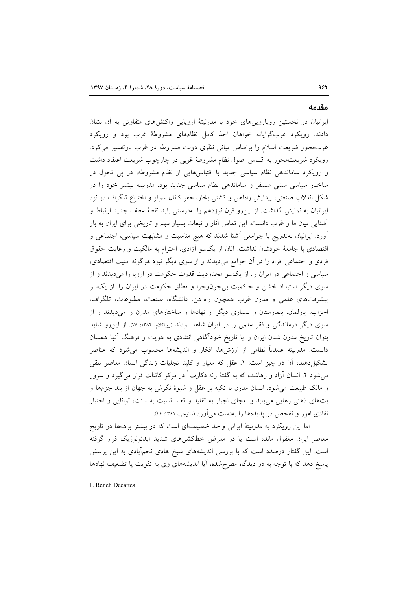ایرانیان در نخستین رویاروییهای خود با مدرنیتهٔ اروپایی واکنشهای متفاوتی به آن نشان دادند. رویکرد غربگرایانه خواهان اخذ کامل نظامهای مشروطهٔ غرب بود و رویکرد غربمحور شریعت اسلام را براساس مبانی نظری دولت مشروطه در غرب بازتفسیر میکرد. رویکرد شریعت.حور به اقتباس اصول نظام مشروطهٔ غربی در چارچوب شریعت اعتقاد داشت و رویکرد ساماندهی نظام سیاسی جدید با اقتباسهایی از نظام مشروطه، در پی تحول در ساختار سیاسی سنتی مستقر و ساماندهی نظام سیاسی جدید بود. مدرنیته بیشتر خود را در شکل انقلاب صنعتی، پیدایش راهآهن و کشتی بخار، حفر کانال سوئز و اختراع تلگراف در نزد ایرانیان به نمایش گذاشت. از این٫رو قرن نوزدهم را بهدرستی باید نقطهٔ عطف جدید ارتباط و اًشنایی میان ما و غرب دانست. این تماس آثار و تبعات بسیار مهم و تاریخی برای ایران به بار آورد. ایرانیان بهتدریج با جوامعی آشنا شدند که هیچ مناسبت و مشابهت سیاسی، اجتماعی و اقتصادی با جامعهٔ خودشان نداشت. آنان از یکسو آزادی، احترام به مالکیت و رعایت حقوق فردی و اجتماعی افراد را در آن جوامع میدیدند و از سوی دیگر نبود هرگونه امنیت اقتصادی، سیاسی و اجتماعی در ایران را. از یکسو محدودیت قدرت حکومت در اروپا را میدیدند و از سوی دیگر استبداد خشن و حاکمیت بیچونوچرا و مطلق حکومت در ایران را. از یکسو پیشرفتهای علمی و مدرن غرب همچون راهآهن، دانشگاه، صنعت، مطبوعات، تلگراف، احزاب، پارلمان، بیمارستان و بسیاری دیگر از نهادها و ساختارهای مدرن را میدیدند و از سوی دیگر درماندگی و فقر علمی را در ایران شاهد بودند (زیباکلام، ۱۳۸۲: ۷۸). از این رو شاید بتوان تاریخ مدرن شدن ایران را با تاریخ خودآگاهی انتقادی به هویت و فرهنگ آنها همسان دانست. مدرنیته عمدتاً نظامی از ارزشها، افکار و اندیشهها محسوب میشود که عناصر تشکیل دهنده آن دو چیز است: ١. عقل که معیار و کلید تجلیات زندگی انسان معاصر تلقی میشود ۲. انسان آزاد و رهاشده که به گفتهٔ رنه دکارت ٰ در مرکز کائنات قرار میگیرد و سرور و مالک طبیعت می شود. انسان مدرن با تکیه بر عقل و شیوهٔ نگرش به جهان از بند جزمها و بتهای ذهنی رهایی می یابد و بهجای اجبار به تقلید و تعبد نسبت به سنت، توانایی و اختیار نقادی امور و تفحص در پدیدهها را بهدست می آورد (ساوجی، ۱۳۶۱: ۴۶).

اما این رویکرد به مدرنیتهٔ ایرانی واجد خصیصهای است که در بیشتر برههها در تاریخ معاصر ایران مغفول مانده است یا در معرض خطکشیهای شدید ایدئولوژیک قرار گرفته است. این گفتار درصدد است که با بررسی اندیشههای شیخ هادی نجمآبادی به این پرسش پاسخ دهد که با توجه به دو دیدگاه مطرحشده، آیا اندیشههای وی به تقویت یا تضعیف نهادها

1. Reneh Decattes

مقدمه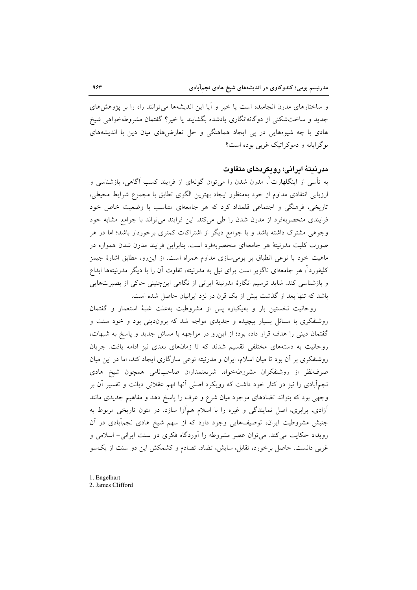و ساختارهای مدرن انجامیده است یا خیر و آیا این اندیشهها می توانند راه را بر پژوهشهای جدید و ساختشکنی از دوگانهانگاری یادشده بگشایند یا خیر؟ گفتمان مشروطهخواهی شیخ هادی با چه شیوههایی در پی ایجاد هماهنگی و حل تعارضهای میان دین با اندیشههای نو گرایانه و دموکراتیک غربی بوده است؟

## مدرنيتهٔ ايراني؛ رويكردهاي متفاوت

به تأسی از اینگلهارت ْ، مدرن شدن را می توان گونهای از فرایند کسب آگاهی، بازشناسی و ارزیابی انتقادی مداوم از خود بهمنظور ایجاد بهترین الگوی تطابق با مجموع شرایط محیطی، تاریخی، فرهنگی و اجتماعی قلمداد کرد که هر جامعهای متناسب با وضعیت خاص خود فرایندی منحصربهفرد از مدرن شدن را طی میکند. این فرایند می تواند با جوامع مشابه خود وجوهی مشترک داشته باشد و با جوامع دیگر از اشتراکات کمتری برخوردار باشد؛ اما در هر صورت کلیت مدرنیتهٔ هر جامعهای منحصربهفرد است. بنابراین فرایند مدرن شدن همواره در ماهیت خود با نوعی انطباق بر بومی سازی مداوم همراه است. از این رو، مطابق اشارهٔ جیمز کلیفورد ٔ، هر جامعهای ناگزیر است برای نیل به مدرنیته، تفاوت آن را با دیگر مدرنیتهها ابداع و بازشناسی کند. شاید ترسیم انگارهٔ مدرنیتهٔ ایرانی از نگاهی اینچنینی حاکی از بصیرتهایی باشد که تنها بعد از گذشت بیش از یک قرن در نزد ایرانیان حاصل شده است.

روحانیت نخستین بار و بهیکباره پس از مشروطیت بهعلت غلبهٔ استعمار و گفتمان روشنفکری با مسائل بسیار پیچیده و جدیدی مواجه شد که بروندینی بود و خود سنت و گفتمان دینی را هدف قرار داده بود؛ از این رو در مواجهه با مسائل جدید و پاسخ به شبهات، روحانیت به دستههای مختلفی تقسیم شدند که تا زمانهای بعدی نیز ادامه یافت. جریان روشنفکری بر آن بود تا میان اسلام، ایران و مدرنیته نوعی سازگاری ایجاد کند، اما در این میان صرف نظر از روشنفكران مشروطه خواه، شريعتمداران صاحب نامي همچون شيخ هادي نجمهآبادی را نیز در کنار خود داشت که رویکرد اصلی آنها فهم عقلانی دیانت و تفسیر آن بر وجهی بود که بتواند تضادهای موجود میان شرع و عرف را پاسخ دهد و مفاهیم جدیدی مانند آزادی، برابری، اصل نمایندگی و غیره را با اسلام همآوا سازد. در متون تاریخی مربوط به جنبش مشروطیت ایران، توصیفهایی وجود دارد که از سهم شیخ هادی نجمآبادی در آن رویداد حکایت می کند. می توان عصر مشروطه را آوردگاه فکری دو سنت ایرانی- اسلامی و غربی دانست. حاصل برخورد، تقابل، سایش، تضاد، تصادم و کشمکش این دو سنت از یکسو

- 1. Engelhart
- 2. James Clifford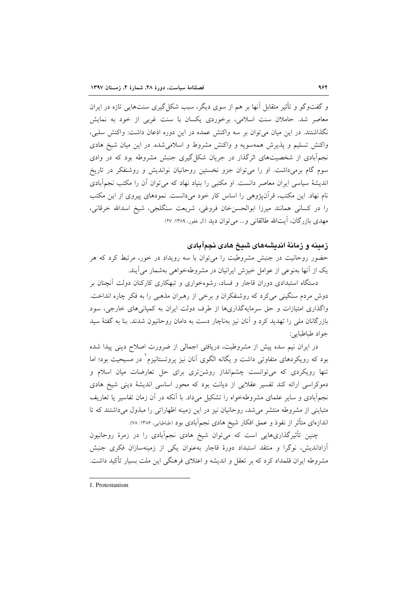و گفتوگو و تأثیر متقابل آنها بر هم از سوی دیگر، سبب شکل گیری سنتهایی تازه در ایران معاصر شد. حاملان سنت اسلامی، برخوردی یکسان با سنت غربی از خود به نمایش نگذاشتند. در این میان می توان بر سه واکنش عمده در این دوره اذعان داشت: واکنش سلبی، واکنش تسلیم و پذیرش همهسویه و واکنش مشروط و اسلامی شده. در این میان شیخ هادی نجمآبادی از شخصیتهای اثر گذار در جریان شکل گیری جنبش مشروطه بود که در وادی سوم گام برمیداشت. او را می توان جزو نخستین روحانیان نواندیش و روشنفکر در تاریخ اندیشهٔ سیاسی ایران معاصر دانست. او مکتبی را بنیاد نهاد که می توان آن را مکتب نجمآبادی نام نهاد. این مکتب، قرآنپژوهی را اساس کار خود میدانست. نمودهای پیروی از این مکتب را در كساني همانند ميرزا ابوالحسن خان فروغي، شريعت سنگلجي، شيخ اسدالله خرقاني، مهدی بازرگان، آیتالله طالقانی و... می توان دید (آل غفور، ۱۳۸۹: ۲۷)

## زمینه و زمانهٔ اندیشههای شیخ هادی نجمآبادی

حضور روحانیت در جنبش مشروطیت را میتوان با سه رویداد در خور، مرتبط کرد که هر یک از آنها بهنوعی از عوامل خیزش ایرانیان در مشروطهخواهی بهشمار میآیند.

دستگاه استبدادی دوران قاجار و فساد، رشوهخواری و تبهکاری کارکنان دولت آنچنان بر دوش مردم سنگینی میکرد که روشنفکران و برخی از رهبران مذهبی را به فکر چاره انداخت. واگذاری امتیازات و حق سرمایهگذاریها از طرف دولت ایران به کمپانیهای خارجی، سود بازرگانان ملی را تهدید کرد و آنان نیز بهناچار دست به دامان روحانیون شدند. بنا به گفتهٔ سید جواد طباطبايي:

در ایران نیم سده پیش از مشروطیت، دریافتی اجمالی از ضرورت اصلاح دینی پیدا شده بود که رویکردهای متفاوتی داشت و یگانه الگوی آنان نیز پروتستانیزم ٰ در مسیحیت بود؛ اما تنها رویکردی که میتوانست چشمانداز روشنتری برای حل تعارضات میان اسلام و دموکراسی ارائه کند تفسیر عقلایی از دیانت بود که محور اساسی اندیشهٔ دینی شیخ هادی نجمآبادی و سایر علمای مشروطهخواه را تشکیل میداد. با آنکه در آن زمان تفاسیر یا تعاریف متبايني از مشروطه منتشر مي شد، روحانيان نيز در اين زمينه اظهاراتي را مبذول مي داشتند كه تا اندازهای متأثر از نفوذ و عمق افکار شیخ هادی نجم|َبادی بود (طباطبایی، ۱۳۸۶: ۷۸).

چنین تأثیرگذاریهایی است که میتوان شیخ هادی نجمآبادی را در زمرهٔ روحانیون آزاداندیش، نوگرا و منتقد استبداد دورهٔ قاجار بهعنوان یکی از زمینهسازان فکری جنبش مشروطه ایران قلمداد کرد که بر تعقل و اندیشه و اعتلای فرهنگی این ملت بسیار تأکید داشت.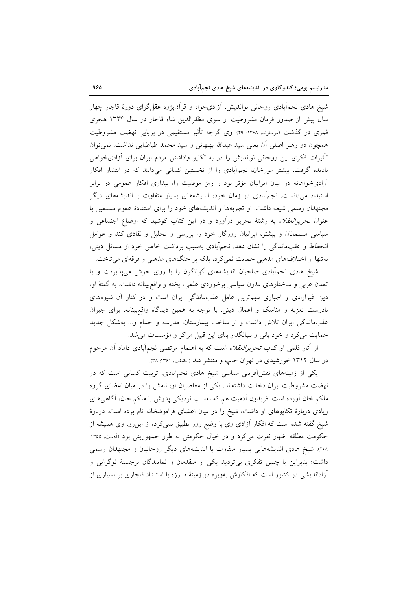شیخ هادی نجمآبادی روحانی نواندیش، آزادیخواه و قرآن،پژوه عقل گرای دورهٔ قاجار چهار سال پیش از صدور فرمان مشروطیت از سوی مظفرالدین شاه قاجار در سال ۱۳۲۴ هجری قمری در گذشت (مرسلوند، ۱۳۷۸: ۴۹). وی گرچه تأثیر مستقیمی در برپایی نهضت مشروطیت همچون دو رهبر اصلی آن یعنی سید عبدالله بهبهانی و سید محمد طباطبایی نداشت، نمیتوان تأثیرات فکری این روحانی نواندیش را در به تکاپو واداشتن مردم ایران برای آزادیخواهی نادیده گرفت. بیشتر مورخان، نجمآبادی را از نخستین کسانی میدانند که در انتشار افکار آزادیخواهانه در میان ایرانیان مؤثر بود و رمز موفقیت را، بیداری افکار عمومی در برابر استبداد میدانست. نجمآبادی در زمان خود، اندیشههای بسیار متفاوت با اندیشههای دیگر مجتهدان رسمی شیعه داشت. او تجربهها و اندیشههای خود را برای استفادهٔ عموم مسلمین با عنوان *تحریرالعقلاء* به رشتهٔ تحریر درآورد و در این کتاب کوشید که اوضاع اجتماعی و سیاسی مسلمانان و بیشتر، ایرانیان روزگار خود را بررسی و تحلیل و نقادی کند و عوامل انحطاط و عقبماندگی را نشان دهد. نجمأبادی بهسبب برداشت خاص خود از مسائل دینی، نهتنها از اختلافهای مذهبی حمایت نمیکرد، بلکه بر جنگهای مذهبی و فرقهای میتاخت.

شیخ هادی نجمآبادی صاحبان اندیشههای گوناگون را با روی خوش می پذیرفت و با تمدن غربی و ساختارهای مدرن سیاسی برخوردی علمی، پخته و واقع بینانه داشت. به گفتهٔ او، دین غیرارادی و اجباری مهمترین عامل عقبماندگی ایران است و در کنار آن شیوههای نادرست تعزیه و مناسک و اعمال دینی. با توجه به همین دیدگاه واقع بینانه، برای جبران عقبماندگی ایران تلاش داشت و از ساخت بیمارستان، مدرسه و حمام و... بهشکل جدید حمایت میکرد و خود بانی و بنیانگذار بنای این قبیل مراکز و مؤسسات می شد.

از آثار قلمی او کتاب *تحریرالعقلاء* است که به اهتمام مرتضی نجمآبادی داماد آن مرحوم در سال ۱۳۱۲ خورشیدی در تهران چاپ و منتشر شد (حقیقت، ۱۳۶۱: ۳۸).

یکی از زمینههای نقشآفرینی سیاسی شیخ هادی نجمآبادی، تربیت کسانی است که در نهضت مشروطیت ایران دخالت داشتهاند. یکی از معاصران او، نامش را در میان اعضای گروه ملکم خان آورده است. فریدون آدمیت هم که بهسبب نزدیکی پدرش با ملکم خان، آگاهی۵ای زیادی دربارهٔ تکاپوهای او داشت، شیخ را در میان اعضای فراموشخانه نام برده است. دربارهٔ شیخ گفته شده است که افکار آزادی وی با وضع روز تطبیق نمیکرد، از این رو، وی همیشه از حکومت مطلقه اظهار نفرت میکرد و در خیال حکومتی به طرز جمهوریتی بود (اَدمیت، ۱۳۵۵: ۲۰۸). شیخ هادی اندیشههایی بسیار متفاوت با اندیشههای دیگر روحانیان و مجتهدان رسمی داشت؛ بنابراین با چنین تفکری بیتردید یکی از متقدمان و نمایندگان برجستهٔ نوگرایی و آزاداندیشی در کشور است که افکارش بهویژه در زمینهٔ مبارزه با استبداد قاجاری بر بسیاری از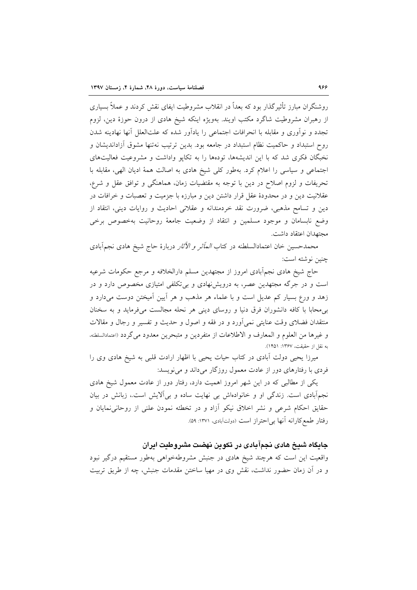روشنگران مبارز تأثیر گذار بود که بعداً در انقلاب مشروطیت ایفای نقش کردند و عملاً بسیاری از رهبران مشروطیت شاگرد مکتب اویند. بهویژه اینکه شیخ هادی از درون حوزهٔ دین، لزوم تجدد و نوآوری و مقابله با انحرافات اجتماعی را یادآور شده که علتالعلل آنها نهادینه شدن روح استبداد و حاکمیت نظام استبداد در جامعه بود. بدین ترتیب نهتنها مشوق آزاداندیشان و نخبگان فکری شد که با این اندیشهها، تودهها را به تکایو واداشت و مشروعیت فعالیتهای اجتماعی و سیاسی را اعلام کرد. بهطور کلی شیخ هادی به اصالت همهٔ ادیان الهی، مقابله با تحریفات و لزوم اصلاح در دین با توجه به مقتضیات زمان، هماهنگی و توافق عقل و شرع، عقلانیت دین و در محدودهٔ عقل قرار داشتن دین و مبارزه با جزمیت و تعصبات و خرافات در دین و تسامح مذهبی، ضرورت نقد خردمندانه و عقلانی احادیث و روایات دینی، انتقاد از وضع نابسامان و موجود مسلمین و انتقاد از وضعیت جامعهٔ روحانیت بهخصوص برخی مجتهدان اعتقاد داشت.

محمدحسین خان اعتمادالسلطنه در کتاب *المأثر و الأثار* دربارهٔ حاج شیخ هادی نجم|َبادی چنین نوشته است:

حاج شیخ هادی نجمآبادی امروز از مجتهدین مسلم دارالخلافه و مرجع حکومات شرعیه است و در جرگه مجتهدین عصر، به درویشنهادی و بیتکلفی امتیازی مخصوص دارد و در زهد و ورع بسیار کم عدیل است و با علماء هر مذهب و هر اّیین اَمیختن دوست میدارد و بی محابا با کافه دانشوران فرق دنیا و روسای دینی هر نحله مجالست می فرماید و به سخنان منتقدان فضلای وقت عنایتی نمی آورد و در فقه و اصول و حدیث و تفسیر و رجال و مقالات و غيرها من العلوم و المعارف و الاطلاعات از متفردين و متبحرين معدود مي گردد (اعتمادالسلطنه، به نقل از حقیقت، ۱۳۶۷: ۱۴۵۱).

میرزا یحیی دولت آبادی در کتاب حیات یحیی با اظهار ارادت قلبی به شیخ هادی وی را فردی با رفتارهای دور از عادت معمول روزگار میداند و می نویسد:

یکی از مطالبی که در این شهر امروز اهمیت دارد، رفتار دور از عادت معمول شیخ هادی نجمآبادی است. زندگی او و خانوادهاش بی نهایت ساده و بی آلایش است.، زبانش در بیان حقایق احکام شرعی و نشر اخلاق نیکو أزاد و در تخطئه نمودن علنی از روحانی،نمایان و رفتار طمع كارانه آنها بي احتراز است (دولتآبادي، ١٣٧١: ٥٩).

جايگاه شيخ هادی نجمآبادی در تکوين نهضت مشروطيت ايران

واقعیت این است که هرچند شیخ هادی در جنبش مشروطهخواهی بهطور مستقیم درگیر نبود و در أن زمان حضور نداشت، نقش وی در مهیا ساختن مقدمات جنبش، چه از طریق تربیت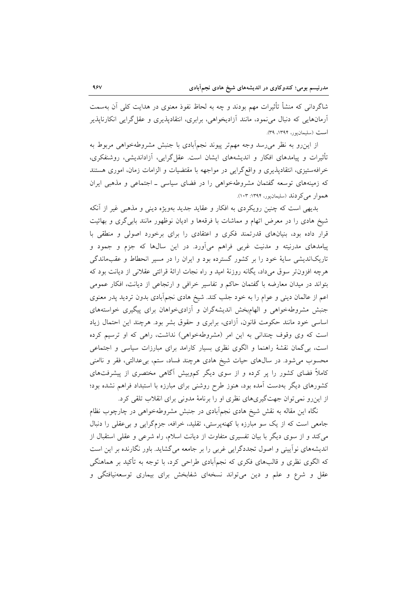شاگردانی که منشأ تأثیرات مهم بودند و چه به لحاظ نفوذ معنوی در هدایت کلی اَن بهسمت آرمانهایی که دنبال می نمود، مانند آزادیخواهی، برابری، انتقادپذیری و عقل گرایی انکارناپذیر است (سليمانيور، ١٣٩۴، ٣٩).

از این رو به نظر می رسد وجه مهم تر پیوند نجماًبادی با جنبش مشروطهخواهی مربوط به تأثیرات و پیامدهای افکار و اندیشههای ایشان است. عقل گرایی، آزاداندیشی، روشنفکری، خرافهستیزی، انتقادپذیری و واقع گرایی در مواجهه با مقتضیات و الزامات زمان، اموری هستند که زمینههای توسعه گفتمان مشروطهخواهی را در فضای سیاسی ـ اجتماعی و مذهبی ایران هموار می کردند (سلیمانیور، ۱۳۹۴: ۱۰۳).

بدیهی است که چنین رویکردی به افکار و عقاید جدید بهویژه دینی و مذهبی غیر از آنکه شیخ هادی را در معرض اتهام و مماشات با فرقهها و ادیان نوظهور مانند بابی گری و بهائیت قرار داده بود، بنیانهای قدرتمند فکری و اعتقادی را برای برخورد اصولی و منطقی با پیامدهای مدرنیته و مدنیت غربی فراهم می[ورد. در این سالها که جزم و جمود و تاریکاندیشی سایهٔ خود را بر کشور گسترده بود و ایران را در مسیر انحطاط و عقبماندگی هرچه افزونتر سوق میداد، یگانه روزنهٔ امید و راه نجات ارائهٔ قرائتی عقلانی از دیانت بود که بتواند در میدان معارضه با گفتمان حاکم و تفاسیر خرافی و ارتجاعی از دیانت، افکار عمومی اعم از عالمان دینی و عوام را به خود جلب کند. شیخ هادی نجم|ْبادی بدون تردید پدر معنوی جنبش مشروطهخواهی و الهامبخش اندیشهگران و أزادیخواهان برای پیگیری خواستههای اساسی خود مانند حکومت قانون، آزادی، برابری و حقوق بشر بود. هرچند این احتمال زیاد است که وی وقوف چندانی به این امر (مشروطهخواهی) نداشت، راهی که او ترسیم کرده است، بی گمان نقشهٔ راهنما و الگوی نظری بسیار کارامد برای مبارزات سیاسی و اجتماعی محسوب می شود. در سال های حیات شیخ هادی هرچند فساد، ستم، بی عدالتی، فقر و ناامنی کاملاً فضای کشور را پر کرده و از سوی دیگر کموبیش آگاهی مختصری از پیشرفتهای کشورهای دیگر بهدست آمده بود، هنوز طرح روشنی برای مبارزه با استبداد فراهم نشده بود؛ از این رو نمی توان جهت گیری های نظری او را برنامهٔ مدونی برای انقلاب تلقی کرد.

نگاه این مقاله به نقش شیخ هادی نجمآبادی در جنبش مشروطهخواهی در چارچوب نظام جامعی است که از یک سو مبارزه با کهنهپرستی، تقلید، خرافه، جزمگرایی و بی عقلی را دنبال می کند و از سوی دیگر با بیان تفسیری متفاوت از دیانت اسلام، راه شرعی و عقلی استقبال از اندیشههای نوآیینی و اصول تجددگرایی غربی را بر جامعه میگشاید. باور نگارنده بر این است که الگوی نظری و قالبهای فکری که نجم|َبادی طراحی کرد، با توجه به تأکید بر هماهنگی عقل و شرع و علم و دین می تواند نسخهای شفابخش برای بیماری توسعهنیافتگی و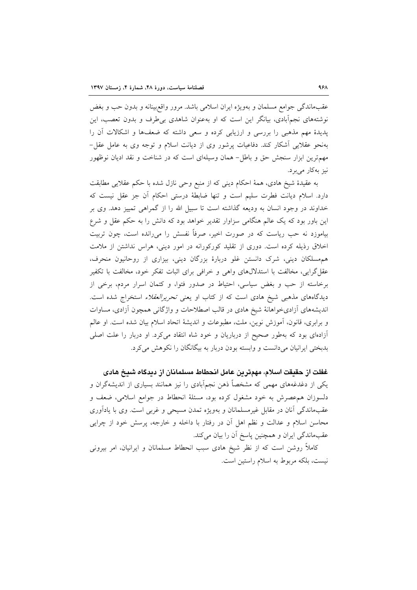عقبِماندگي جوامع مسلمان و بهويژه ايران اسلامي باشد. مرور واقعبينانه و بدون حب و بغض نوشتههای نجمآبادی، بیانگر این است که او بهعنوان شاهدی بی طرف و بدون تعصب، این پدیدهٔ مهم مذهبی را بررسی و ارزیابی کرده و سعی داشته که ضعفها و اشکالات آن را بهنحو عقلایی آشکار کند. دفاعیات پرشور وی از دیانت اسلام و توجه وی به عامل عقل-مهمترین ابزار سنجش حق و باطل- همان وسیلهای است که در شناخت و نقد ادیان نوظهور نيز به كار مى برد.

به عقیدهٔ شیخ هادی، همهٔ احکام دینی که از منبع وحی نازل شده با حکم عقلایی مطابقت دارد. اسلام دیانت فطرت سلیم است و تنها ضابطهٔ درستی احکام آن جز عقل نیست که خداوند در وجود انسان به ودیعه گذاشته است تا سبیل الله را از گمراهی تمییز دهد. وی بر این باور بود که یک عالم هنگامی سزاوار تقدیر خواهد بود که دانش را به حکم عقل و شرع بیاموزد نه حب ریاست که در صورت اخیر، صرفاً نفسش را میرانده است، چون تربیت اخلاق رذیله کرده است. دوری از تقلید کورکورانه در امور دینی، هراس نداشتن از ملامت هم مسلکان دینی، شرک دانستن غلو دربارهٔ بزرگان دینی، بیزاری از روحانیون منحرف، عقل گرایی، مخالفت با استدلالهای واهی و خرافی برای اثبات تفکر خود، مخالفت با تکفیر برخاسته از حب و بغض سیاسی، احتیاط در صدور فتوا، و کتمان اسرار مردم، برخی از دیدگاههای مذهبی شیخ هادی است که از کتاب او یعنی تحریر العقلاء استخراج شده است. اندیشههای اَزادیخواهانهٔ شیخ هادی در قالب اصطلاحات و واژگانی همچون اَزادی، مساوات و برابری، قانون، آموزش نوین، ملت، مطبوعات و اندیشهٔ اتحاد اسلام بیان شده است. او عالم آزادهای بود که بهطور صحیح از درباریان و خود شاه انتقاد میکرد. او دربار را علت اصلی بدبختی ایرانیان میدانست و وابسته بودن دربار به بیگانگان را نکوهش میکرد.

غفلت از حقیقت اسلام، مهمترین عامل انحطاط مسلمانان از دیدگاه شیخ هادی

یکی از دغدغههای مهمی که مشخصاً ذهن نجم|َبادی را نیز همانند بسیاری از اندیشهگران و دلسوزان همءصرش به خود مشغول كرده بود، مسئلة انحطاط در جوامع اسلامي، ضعف و عقبماندگی آنان در مقابل غیرمسلمانان و بهویژه تمدن مسیحی و غربی است. وی با یادآوری محاسن اسلام و عدالت و نظم اهل آن در رفتار با داخله و خارجه، پرسش خود از چرایی عقبماندگی ایران و همچنین پاسخ آن را بیان میکند.

کاملاً روشن است که از نظر شیخ هادی سبب انحطاط مسلمانان و ایرانیان، امر بیرونی نيست، بلكه مربوط به اسلام راستين است.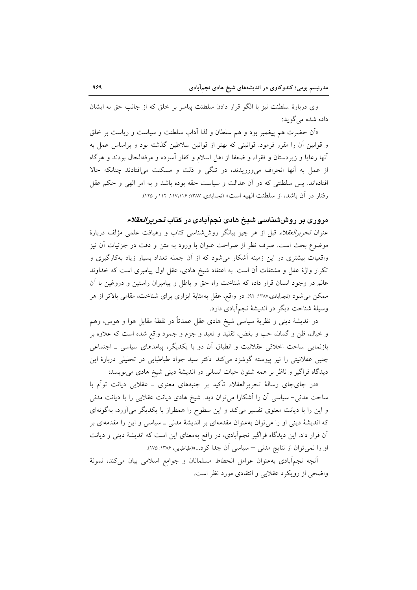وي دربارهٔ سلطنت نيز با الگو قرار دادن سلطنت پيامبر بر خلق كه از جانب حق به ايشان داده شده مي گو بد:

«اَن حضرت هم پیغمبر بود و هم سلطان و لذا اَداب سلطنت و سیاست و ریاست بر خلق و قوانین آن را مقرر فرمود. قوانینی که بهتر از قوانین سلاطین گذشته بود و براساس عمل به آنها رعایا و زیردستان و فقراء و ضعفا از اهل اسلام و کفار آسوده و مرفهالحال بودند و هرگاه از عمل به آنها انحراف می ورزیدند، در تنگی و ذلت و مسکنت می افتادند چنانکه حالا افتادهاند. پس سلطنتی که در آن عدالت و سیاست حقه بوده باشد و به امر الهی و حکم عقل رفتار در آن باشد، از سلطنت الهیه است» (نجماًبادی، ۱۳۸۷: ۱۱۷،۱۱۶، ۱۱۲ و ۱۲۵).

# مروری بر روششناسی شیخ هادی نجمآبادی در کتاب *تحریرالعقلاء*

عنوان تحرير العقلاء قبل از هر چيز بيانگر روششناسي كتاب و رهيافت علمي مؤلف دربارة موضوع بحث است. صرف نظر از صراحت عنوان با ورود به متن و دقت در جزئیات آن نیز واقعیات بیشتری در این زمینه آشکار می شود که از آن جمله تعداد بسیار زیاد بهکارگیری و تکرار واژهٔ عقل و مشتقات آن است. به اعتقاد شیخ هادی، عقل اول پیامبری است که خداوند عالم در وجود انسان قرار داده كه شناخت راه حق و باطل و پيامبران راستين و دروغين با آن ممکن می شود (نجمآبادی،۱۳۸۷: ۹۲). در واقع، عقل بهمثابهٔ ابزاری برای شناخت، مقامی بالاتر از هر وسیلهٔ شناخت دیگر در اندیشهٔ نجمآبادی دارد.

در اندیشهٔ دینی و نظریهٔ سیاسی شیخ هادی عقل عمدتاً در نقطهٔ مقابل هوا و هوس، وهم و خیال، ظن و گمان، حب و بغض، تقلید و تعبد و جزم و جمود واقع شده است که علاوه بر بازنمایی ساحت اخلاقی عقلانیت و انطباق آن دو با یکدیگر، پیامدهای سیاسی ـ اجتماعی چنین عقلانیتی را نیز پیوسته گوشزد میکند. دکتر سید جواد طباطبایی در تحلیلی دربارهٔ این دیدگاه فراگیر و ناظر بر همه شئون حیات انسانی در اندیشهٔ دینی شیخ هادی می نویسد:

«در جایجای رسالهٔ تحریرالعقلاء تأکید بر جنبههای معنوی ــ عقلای<sub>ی</sub> دیانت توأم با ساحت مدنی- سیاسی آن را آشکارا میتوان دید. شیخ هادی دیانت عقلایی را با دیانت مدنی و این را با دیانت معنوی تفسیر میکند و این سطوح را همطراز با یکدیگر میآورد، بهگونهای که اندیشهٔ دینی او را می توان بهعنوان مقدمهای بر اندیشهٔ مدنی ــ سیاسی و این را مقدمهای بر آن قرار داد. این دیدگاه فراگیر نجمآبادی، در واقع بهمعنای این است که اندیشهٔ دینی و دیانت او را نمی توان از نتایج مدنی – سیاسی آن جدا کرد...»(طباطبایی، ۱۳۸۶: ۱۷۵).

أنچه نجمأبادي بهعنوان عوامل انحطاط مسلمانان و جوامع اسلامي بيان مي كند، نمونهٔ واضحی از رویکرد عقلایی و انتقادی مورد نظر است.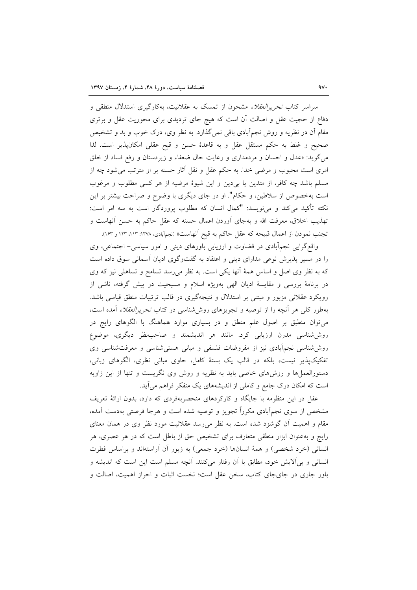سراسر کتاب *تحریرالعقلاء* مشحون از تمسک به عقلانیت، بهکارگیری استدلال منطقی و دفاع از حجیت عقل و اصالت آن است که هیچ جای تردیدی برای محوریت عقل و برتری مقام آن در نظریه و روش نجمهآبادی باقی نمیگذارد. به نظر وی، درک خوب و بد و تشخیص صحيح و غلط به حكم مستقل عقل و به قاعدهٔ حسن و قبح عقلي امكانپذير است. لذا میگوید: «عدل و احسان و مردمداری و رعایت حال ضعفاء و زیردستان و رفع فساد از خلق امری است محبوب و مرضی خدا. به حکم عقل و نقل آثار حسنه بر او مترتب می شود چه از مسلم باشد چه کافر، از متدین یا بی دین و این شیوهٔ مرضیه از هر کسی مطلوب و مرغوب است بهخصوص از سلاطین، و حکام". او در جای دیگری با وضوح و صراحت بیشتر بر این نکته تأکید میکند و می;ویسد: "کمال انسان که مطلوب پروردگار است به سه امر است: تهذيب اخلاق، معرفت الله و بهجاي أوردن اعمال حسنه كه عقل حاكم به حسن أنهاست و تجنب نمودن از اعمال قبیحه که عقل حاکم به قبح اَنهاست» (نجماَبادی، ۱۳۷۸: ۱۱۳، ۱۲۳ و ۱۶۳).

واقع گرایی نجم!بادی در قضاوت و ارزیابی باورهای دینی و امور سیاسی– اجتماعی، وی را در مسیر پذیرش نوعی مدارای دینی و اعتقاد به گفتوگوی ادیان آسمانی سوق داده است که به نظر وی اصل و اساس همهٔ آنها یکی است. به نظر می رسد تسامح و تساهلی نیز که وی در برنامهٔ بررسی و مقایسهٔ ادیان الهی بهویژه اسلام و مسیحیت در پیش گرفته، ناشی از رویکرد عقلانی مزبور و مبتنی بر استدلال و نتیجهگیری در قالب ترتیبات منطق قیاسی باشد. بهطور کلبی هر أنچه را از توصیه و تجویزهای روششناسی در کتاب *تحریرالعقلاء* أمده است، می توان منطبق بر اصول علم منطق و در بسیاری موارد هماهنگ با الگوهای رایج در روششناسی مدرن ارزیابی کرد. مانند هر اندیشمند و صاحبنظر دیگری، موضوع روششناسی نجمآبادی نیز از مفروضات فلسفی و مبانی هستیشناسی و معرفتشناسی وی تفکیکپذیر نیست، بلکه در قالب یک بستهٔ کامل، حاوی مبانی نظری، الگوهای زبانی، دستورالعملها و روشهای خاصی باید به نظریه و روش وی نگریست و تنها از این زاویه است که امکان درک جامع و کاملی از اندیشههای یک متفکر فراهم می آید.

عقل در این منظومه با جایگاه و کارکردهای منحصربهفردی که دارد، بدون ارائهٔ تعریف مشخص از سوی نجمآبادی مکرراً تجویز و توصیه شده است و هرجا فرصتی بهدست آمده، مقام و اهمیت آن گوشزد شده است. به نظر می رسد عقلانیت مورد نظر وی در همان معنای رایج و بهعنوان ابزار منطقی متعارف برای تشخیص حق از باطل است که در هر عصری، هر انسانی (خرد شخصی) و همهٔ انسانها (خرد جمعی) به زیور آن آراستهاند و براساس فطرت انسانی و بی آلایش خود، مطابق با آن رفتار میکنند. آنچه مسلم است این است که اندیشه و باور جاری در جای جای کتاب، سخن عقل است؛ نخست اثبات و احراز اهمیت، اصالت و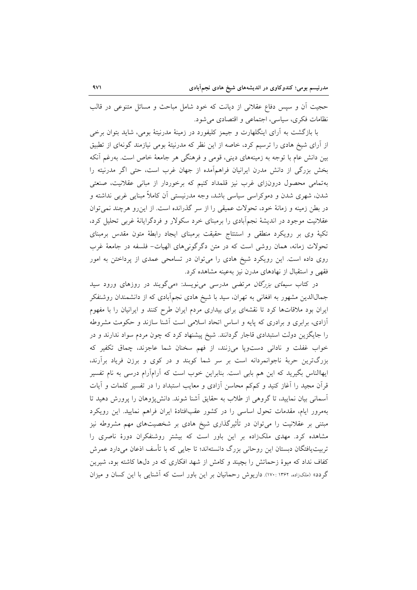حجیت اّن و سپس دفاع عقلانی از دیانت که خود شامل مباحث و مسائل متنوعی در قالب نظامات فکری، سیاسی، اجتماعی و اقتصادی می شود.

با بازگشت به آرای اینگلهارت و جیمز کلیفورد در زمینهٔ مدرنیتهٔ بومی، شاید بتوان برخی از اَرای شیخ هادی را ترسیم کرد، خاصه از این نظر که مدرنیتهٔ بومی نیازمند گونهای از تطبیق بین دانش عام با توجه به زمینههای دینی، قومی و فرهنگی هر جامعهٔ خاص است. بهرغم آنکه بخش بزرگی از دانش مدرن ایرانیان فراهمآمده از جهان غرب است، حتی اگر مدرنیته را بهتمامی محصول درونزای غرب نیز قلمداد کنیم که برخوردار از مبانی عقلانیت، صنعتی شدن، شهری شدن و دموکراسی سیاسی باشد، وجه مدرنیستی آن کاملاً مبنایی غربی نداشته و در بطن زمینه و زمانهٔ خود، تحولات عمیقی را از سر گذرانده است. از این رو هرچند نمی توان عقلانیت موجود در اندیشهٔ نجمآبادی را برمبنای خرد سکولار و فردگرایانهٔ غربی تحلیل کرد، تکیهٔ وی بر رویکرد منطقی و استنتاج حقیقت برمبنای ایجاد رابطهٔ متون مقدس برمبنای تحولات زمانه، همان روشی است که در متن دگرگونیهای الهیات- فلسفه در جامعهٔ غرب روی داده است. این رویکرد شیخ هادی را می توان در تسامحی عمدی از پرداختن به امور فقهی و استقبال از نهادهای مدرن نیز بهعینه مشاهده کرد.

در کتاب *سیمای بزرگان م*رتضی مدرسی می نویسد: «میگویند در روزهای ورود سید جمالالدین مشهور به افغانی به تهران، سید با شیخ هادی نجمآبادی که از دانشمندان روشنفکر ایران بود ملاقاتها کرد تا نقشهای برای بیداری مردم ایران طرح کنند و ایرانیان را با مفهوم آزادی، برابری و برادری که پایه و اساس اتحاد اسلامی است آشنا سازند و حکومت مشروطه را جایگزین دولت استبدادی قاجار گردانند. شیخ پیشنهاد کرد که چون مردم سواد ندارند و در خواب غفلت و نادانی دستوپا میزنند، از فهم سخنان شما عاجزند، چماق تکفیر که بزرگترین حربهٔ ناجوانمردانه است بر سر شما کوبند و در کوی و برزن فریاد برآرند، ایهاالناس بگیرید که این هم بابی است. بنابراین خوب است که آرامآرام درسی به نام تفسیر قرآن مجید را آغاز کنید و کمکم محاسن آزادی و معایب استبداد را در تفسیر کلمات و آیات آسمانی بیان نمایید، تا گروهی از طلاب به حقایق آشنا شوند. دانش پژوهان را پرورش دهید تا بهمرور ایام، مقدمات تحول اساسی را در کشور عقبافتادهٔ ایران فراهم نمایید. این رویکرد مبتنی بر عقلانیت را میٍتوان در تأثیرگذاری شیخ هادی بر شخصیتهای مهم مشروطه نیز مشاهده کرد. مهدی ملکزاده بر این باور است که بیشتر روشنفکران دورهٔ ناصری را تربیت یافتگان دبستان این روحانی بزرگ دانستهاند؛ تا جایی که با تأسف اذعان میدارد عمرش کفاف نداد که میوهٔ زحماتش را بچیند و کامش از شهد افکاری که در دلها کاشته بود، شیرین گردد» (ملکوراده، ۱۳۶۲ :۱۷۰). داریوش رحمانیان بر این باور است که آشنایی با این کسان و میزان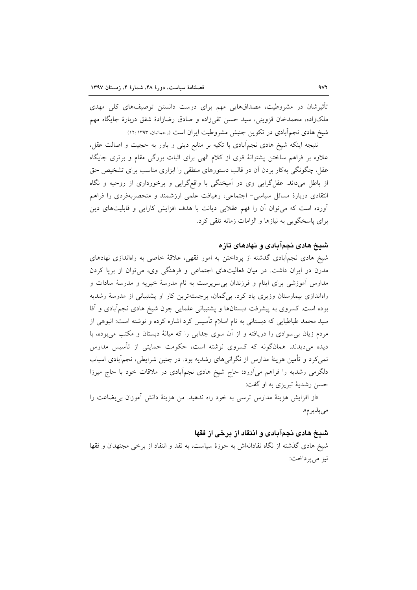تأثیرشان در مشروطیت، مصداقهایی مهم برای درست دانستن توصیفهای کلی مهدی ملک; اده، محمدخان قزوینی، سید حسن تقی;اده و صادق رضازادهٔ شفق دربارهٔ جایگاه مهم شیخ هادی نجمآبادی در تکوین جنبش مشروطیت ایران است (رحمانیان، ۱۳۹۳:۱۲:

نتیجه اینکه شیخ هادی نجمأبادی با تکیه بر منابع دینی و باور به حجیت و اصالت عقل، علاوه بر فراهم ساختن پشتوانهٔ قوی از کلام الهی برای اثبات بزرگی مقام و برتری جایگاه عقل، چگونگی بهکار بردن اَن در قالب دستورهای منطقی را ابزاری مناسب برای تشخیص حق از باطل میداند. عقل گرایی وی در آمیختگی با واقع گرایی و برخورداری از روحیه و نگاه انتقادی دربارهٔ مسائل سیاسی- اجتماعی، رهیافت علمی ارزشمند و منحصربهفردی را فراهم آورده است که می توان آن را فهم عقلایی دیانت با هدف افزایش کارایی و قابلیتهای دین برای پاسخگویی به نیازها و الزامات زمانه تلقی کرد.

#### شیخ هادی نجمآبادی و نهادهای تازه

شیخ هادی نجمآبادی گذشته از پرداختن به امور فقهی، علاقهٔ خاصی به راهاندازی نهادهای مدرن در ایران داشت. در میان فعالیتهای اجتماعی و فرهنگی وی، می توان از برپا کردن مدارس آموزشی برای ایتام و فرزندان بی سرپرست به نام مدرسهٔ خیریه و مدرسهٔ سادات و راهاندازی بیمارستان وزیری یاد کرد. بی گمان، برجستهترین کار او پشتیبانی از مدرسهٔ رشدیه بوده است. کسروی به پیشرفت دبستانها و پشتیبانی علمایی چون شیخ هادی نجمأبادی و أقا سید محمد طباطبایی که دبستانی به نام اسلام تأسیس کرد اشاره کرده و نوشته است: انبوهی از مردم زیان بی سوادی را دریافته و از آن سوی جدایی را که میانهٔ دبستان و مکتب می بوده، با دیده میدیدند. همانگونه که کسروی نوشته است، حکومت حمایتی از تأسیس مدارس نمی کرد و تأمین هزینهٔ مدارس از نگرانی۵ای رشدیه بود. در چنین شرایطی، نجمآبادی اسباب دلگرمی رشدیه را فراهم میآورد: حاج شیخ هادی نجمآبادی در ملاقات خود با حاج میرزا حسن رشديهٔ تبريزي به او گفت:

«از افزایش هزینهٔ مدارس ترسی به خود راه ندهید. من هزینهٔ دانش آموزان بی بضاعت را می پذیر م».

#### شیخ هادی نجمآبادی و انتقاد از برخی از فقها

شیخ هادی گذشته از نگاه نقادانهاش به حوزهٔ سیاست، به نقد و انتقاد از برخی مجتهدان و فقها نيز مي پر داخت: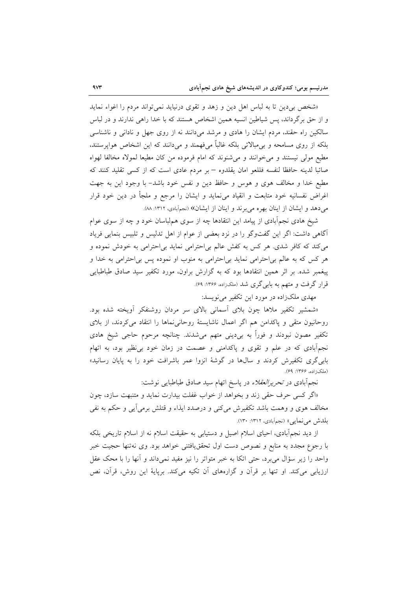«شخص بی دین تا به لباس اهل دین و زهد و تقوی درنیاید نمی تواند مردم را اغواء نماید و از حق برگرداند، پس شیاطین انسیه همین اشخاص هستند که با خدا راهی ندارند و در لباس سالکین راه حقند، مردم ایشان را هادی و مرشد میدانند نه از روی جهل و نادانی و ناشناسی بلکه از روی مسامحه و بی مبالاتی بلکه غالباً می فهمند و می دانند که این اشخاص هوایرستند، مطیع مولی نیستند و می خوانند و می شنوند که امام فرموده من کان مطیعا لمولاه مخالفا لهواه صائباً لدينه حافظًا لنفسه فللعو امان يقلدوه – بر مردم عادي است كه از كسي تقليد كنند كه مطيع خدا و مخالف هوى و هوس و حافظ دين و نفس خود باشد– با وجود اين به جهت اغراض نفسانیه خود متابعت و انقیاد می،نماید و ایشان را مرجع و ملجأ در دین خود قرار می دهد و ایشان از اینان بهره می برند و اینان از ایشان» (نجمآبادی، ١٣١٢: ٨٨).

شیخ هادی نجمأبادی از پیامد این انتقادها چه از سوی هم(باسان خود و چه از سوی عوام آگاهی داشت: اگر این گفتوگو را در نزد بعضی از عوام از اهل تدلیس و تلبیس بنمایی فریاد می کند که کافر شدی. هر کس به کفش عالم بی احترامی نماید بی احترامی به خودش نموده و هر کس که به عالم بیاحترامی نماید بیاحترامی به منوب او نموده پس بیاحترامی به خدا و پیغمبر شده. بر اثر همین انتقادها بود که به گزارش براون، مورد تکفیر سید صادق طباطبایی قرار گرفت و متهم به بابیگری شد (ملکزاده، ۱۳۶۶: ۶۹).

مهدی ملکزاده در مورد این تکفیر می نویسد:

«شمشیر تکفیر ملاها چون بلای اسمانی بالای سر مردان روشنفکر اَویخته شده بود. روحانیون متقی و پاکدامن هم اگر اعمال ناشایستهٔ روحانی نماها را انتقاد می کردند، از بلای تکفیر مصون نبودند و فوراً به بر،دینی متهم میشدند. چنانچه مرحوم حاجی شیخ هادی نجمأبادی که در علم و تقوی و پاکدامنی و عصمت در زمان خود بی نظیر بود، به اتهام بابی گری تکفیرش کردند و سالها در گوشهٔ انزوا عمر باشرافت خود را به پایان رسانید» (ملک; اده، ۱۳۶۶: ۶۹).

نجمآبادی در *تحریرالعقلاء* در پاسخ اتهام سید صادق طباطبایی نوشت:

«اگر کسی حرف حقی زند و بخواهد از خواب غفلت بیدارت نماید و متنبهت سازد، چون مخالف هوی و وهمت باشد تکفیرش میکنی و درصدد ایذاء و قتلش برمیآیی و حکم به نفی بلدش می نمایی» (نجم آبادی، ۱۳۱۲: ۱۳۰).

از دید نجمآبادی، احیای اسلام اصیل و دستیابی به حقیقت اسلام نه از اسلام تاریخی بلکه با رجوع مجدد به منابع و نصوص دست اول تحقق،یافتنی خواهد بود. وی نهتنها حجیت خبر واحد را زیر سؤال می برد، حتی اتکا به خبر متواتر را نیز مفید نمیداند و آنها را با محک عقل ارزیابی میکند. او تنها بر قرآن و گزارههای آن تکیه میکند. برپایهٔ این روش، قرآن، نص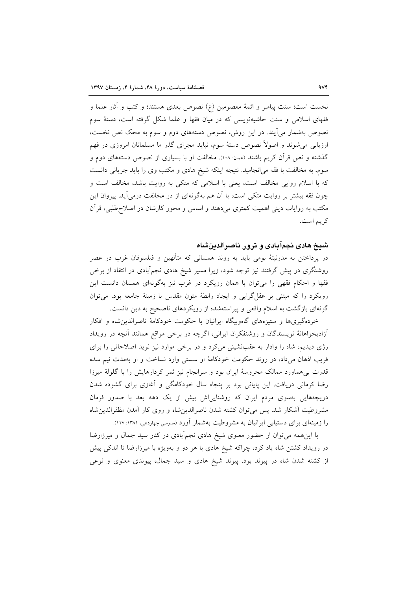نخست است؛ سنت پیامبر و ائمهٔ معصومین (ع) نصوص بعدی هستند؛ و کتب و آثار علما و فقهای اسلامی و سنت حاشیهنویسی که در میان فقها و علما شکل گرفته است، دستهٔ سوم نصوص بهشمار میآیند. در این روش، نصوص دستههای دوم و سوم به محک نص نخست، ارزیابی میشوند و اصولاً نصوص دستهٔ سوم، نباید مجرای گذر ما مسلمانان امروزی در فهم گذشته و نص قرآن کریم باشند (ممان: ۱۰۸). مخالفت او با بسیاری از نصوص دستههای دوم و سوم، به مخالفت با فقه می انجامید. نتیجه اینکه شیخ هادی و مکتب وی را باید جریانی دانست که با اسلام روایی مخالف است، یعنی با اسلامی که متکی به روایت باشد، مخالف است و چون فقه بیشتر بر روایت متکی است، با آن هم بهگونهای از در مخالفت درمی آید. پیروان این مکتب به روایات دینی اهمیت کمتری میدهند و اساس و محور کارشان در اصلاح طلبی، قرآن کر یہ است.

### شیخ هادی نجمآبادی و ترور ناصرالدینشاه

در پرداختن به مدرنیتهٔ بومی باید به روند همسانی که متألهین و فیلسوفان غرب در عصر روشنگری در پیش گرفتند نیز توجه شود، زیرا مسیر شیخ هادی نجمآبادی در انتقاد از برخی فقها و احکام فقهی را میتوان با همان رویکرد در غرب نیز بهگونهای همسان دانست این رویکرد را که مبتنی بر عقل گرایی و ایجاد رابطهٔ متون مقدس با زمینهٔ جامعه بود، می توان گونهای بازگشت به اسلام واقعی و پیراستهشده از رویکردهای ناصحیح به دین دانست.

خردهگیریها و ستیزههای گاهوبیگاه ایرانیان با حکومت خودکامهٔ ناصرالدین شاه و افکار آزادیخواهانهٔ نویسندگان و روشنفکران ایرانی، اگرچه در برخی مواقع همانند آنچه در رویداد رژی دیدیم، شاه را وادار به عقبنشینی میکرد و در برخی موارد نیز نوید اصلاحاتی را برای فریب اذهان میداد، در روند حکومت خودکامهٔ او سستی وارد نساخت و او بهمدت نیم سده قدرت بی هماورد ممالک محروسهٔ ایران بود و سرانجام نیز ثمر کردارهایش را با گلولهٔ میرزا رضا کرمانی دریافت. این پایانی بود بر پنجاه سال خودکامگی و آغازی برای گشوده شدن دریچههایی بهسوی مردم ایران که روشنایی اش بیش از یک دهه بعد با صدور فرمان مشروطيت أشكار شد. يس مي توان كشته شدن ناصرالدين شاه و روى كار أمدن مظفرالدين شاه را زمینهای برای دستیابی ایرانیان به مشروطیت بهشمار آورد (مدرسی چهاردمی، ۱۳۸۱: ۱۱۷).

با این همه می توان از حضور معنوی شیخ هادی نجمآبادی در کنار سید جمال و میرزارضا در رویداد کشتن شاه یاد کرد، چراکه شیخ هادی با هر دو و بهویژه با میرزارضا تا اندکی پیش از کشته شدن شاه در پیوند بود. پیوند شیخ هادی و سید جمال، پیوندی معنوی و نوعی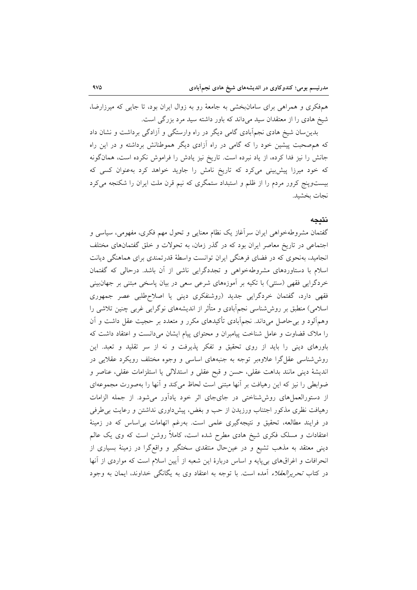همفکری و همراهی برای سامانبخشی به جامعهٔ رو به زوال ایران بود، تا جایی که میرزارضا، شیخ هادی را از معتقدان سید میداند که باور داشته سید مرد بزرگی است.

بدین سان شیخ هادی نجمآبادی گامی دیگر در راه وارستگی و آزادگی برداشت و نشان داد که هم صحبت پیشین خود را که گامی در راه آزادی دیگر هموطنانش برداشته و در این راه جانش را نیز فدا کرده، از یاد نبرده است. تاریخ نیز یادش را فراموش نکرده است، همانگونه که خود میرزا پیش بینی میکرد که تاریخ نامش را جاوید خواهد کرد به عنوان کسی که بیستوپنج کرور مردم را از ظلم و استبداد ستمگری که نیم قرن ملت ایران را شکنجه میکرد نجات بخشيد.

#### نتىجە

گفتمان مشروطهخواهی ایران سرأغاز یک نظام معنایی و تحول مهم فکری، مفهومی، سیاسی و اجتماعی در تاریخ معاصر ایران بود که در گذر زمان، به تحولات و خلق گفتمانهای مختلف انجامید، بهنحوی که در فضای فرهنگی ایران توانست واسطهٔ قدرتمندی برای هماهنگی دیانت اسلام با دستاوردهای مشروطهخواهی و تجددگرایی ناشی از آن باشد. درحالی که گفتمان خردگرایی فقهی (سنتی) با تکیه بر آموزههای شرعی سعی در بیان پاسخی مبتنی بر جهانبینی فقهی دارد، گفتمان خردگرایی جدید (روشنفکری دینی یا اصلاحطلبی عصر جمهوری اسلامی) منطبق بر روششناسی نجمآبادی و متأثر از اندیشههای نوگرایی غربی چنین تلاشی را وهمهآلود و بی حاصل میداند. نجمهآبادی تأکیدهای مکرر و متعدد بر حجیت عقل داشت و آن را ملاک قضاوت و عامل شناخت پیامبران و محتوای پیام ایشان میدانست و اعتقاد داشت که باورهای دینی را باید از روی تحقیق و تفکر پذیرفت و نه از سر تقلید و تعبد. این روششناسی عقلگرا علاوهبر توجه به جنبههای اساسی و وجوه مختلف رویکرد عقلایی در اندیشهٔ دینی مانند بداهت عقلی، حسن و قبح عقلی و استدلالی یا استلزامات عقلی، عناصر و ضوابطی را نیز که این رهیافت بر أنها مبتنی است لحاظ میکند و أنها را بهصورت مجموعهای از دستورالعمل های روش شناختی در جای جای اثر خود یادآور می شود. از جمله الزامات رهیافت نظری مذکور اجتناب ورزیدن از حب و بغض، پیشداوری نداشتن و رعایت بی طرفی در فرایند مطالعه، تحقیق و نتیجهگیری علمی است. بهرغم اتهامات بی|ساس که در زمینهٔ اعتقادات و مسلک فکری شیخ هادی مطرح شده است، کاملاً روشن است که وی یک عالم دینی معتقد به مذهب تشیع و در عینحال منتقدی سختگیر و واقع گرا در زمینهٔ بسیاری از انحرافات و اغراقهای بیپایه و اساس دربارهٔ این شعبه از اّیین اسلام است که مواردی از آنها در کتاب *تحریرالعقلاء* آمده است. با توجه به اعتقاد وی به یگانگ<sub>ی</sub> خداوند، ایمان به وجود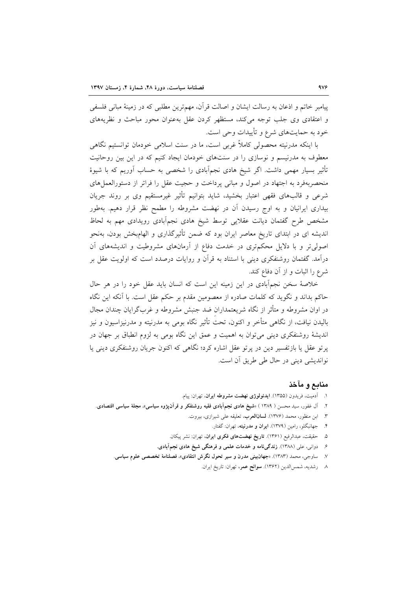پیامبر خاتم و اذعان به رسالت ایشان و اصالت قرآن، مهم ترین مطلبی که در زمینهٔ مبانی فلسفی و اعتقادی وی جلب توجه می کند، مستظهر کردن عقل بهعنوان محور مباحث و نظریههای خود به حمایتهای شرع و تأییدات وحی است.

با اینکه مدرنیته محصولی کاملاً غربی است، ما در سنت اسلامی خودمان توانستیم نگاهی معطوف به مدرنیسم و نوسازی را در سنتهای خودمان ایجاد کنیم که در این بین روحانیت تأثیر بسیار مهمی داشت. اگر شیخ هادی نجمآبادی را شخصی به حساب آوریم که با شیوهٔ منحصربهفرد به اجتهاد در اصول و مبانى پرداخت و حجيت عقل را فراتر از دستورالعمل هاى شرعی و قالبهای فقهی اعتبار بخشید، شاید بتوانیم تأثیر غیرمستقیم وی بر روند جریان بیداری ایرانیان و به اوج رسیدن آن در نهضت مشروطه را مطمح نظر قرار دهیم. بهطور مشخص طرح گفتمان دیانت عقلایی توسط شیخ هادی نجمآبادی رویدادی مهم به لحاظ اندیشه ای در ابتدای تاریخ معاصر ایران بود که ضمن تأثیرگذاری و الهامبخش بودن، بهنحو اصولی تر و با دلایل محکمتری در خدمت دفاع از أرمانهای مشروطیت و اندیشههای أن درآمد. گفتمان روشنفکری دینی با استناد به قرآن و روایات درصدد است که اولویت عقل بر شرع را اثبات و از آن دفاع کند.

خلاصهٔ سخن نجمآبادی در این زمینه این است که انسان باید عقل خود را در هر حال حاکم بداند و نگوید که کلمات صادره از معصومین مقدم بر حکم عقل است. با آنکه این نگاه در اوان مشروطه و متأثر از نگاه شریعتمداران ضد جنبش مشروطه و غربگرایان چندان مجال باليدن نيافت، از نگاهي متأخر و اکنون، تحت تأثير نگاه بومي به مدرنيته و مدرنيزاسيون و نيز اندیشهٔ روشنفکری دینی می توان به اهمیت و عمق این نگاه بومی به لزوم انطباق بر جهان در پرتو عقل یا بازتفسیر دین در پرتو عقل اشاره کرد؛ نگاهی که اکنون جریان روشنفکری دینی یا نواندیشی دینی در حال طی طریق آن است.

#### منابع و ماخذ

- ۱. آدمیت، فریدون (۱۳۵۵). **ایدئولوژی نهضت مشروطه ایران**، تهران: پیام.
- ۲. آل غفور، سید محسن ( ۱۳۸۹ ) «شیخ هادی نجم|آبادی فقیه روشنفکر و قرآنپژوه سیاسی»، مجلهٔ سیاسی اقتصادی.
	- ٣. ابن منظور، محمد (١٣٧۶). لسان العرب، تعليقه على شيرازى، بيروت.
		- ۴. جهانبگلو، رامین (۱۳۷۹). **ایران و مدرنیته**، تهران: گفتار.
	- ۵. حقیقت، عبدالرفیع (۱۳۶۱). **تاریخ نهضتهای فکری ایران**، تهران: نشر پیکان.
	- ۶. دوانی، علی (۱۳۸۸). زندگیiامه و خدمات علمی و فرهنگی شیخ هادی نجمآبادی.
	- ۷. ساوجی، محمد (۱۳۸۳). «جهان بینی مدرن و سیر تحول نگرش انتقادی»، فصلنامهٔ تخصصی علوم سیاسی.
		- ۸ رشدیه، شمسالدین (۱۳۶۲). **سوانح عمر**، تهران: تاریخ ایران.